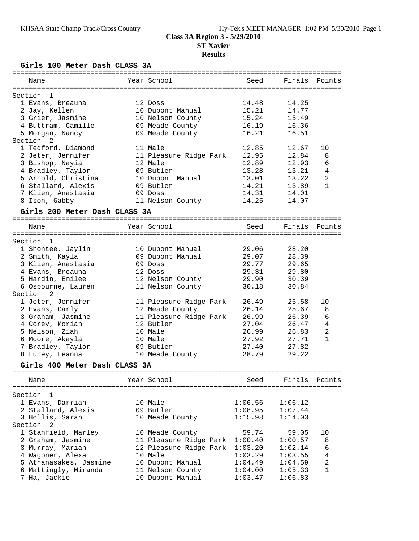**Girls 100 Meter Dash CLASS 3A**

| Name                          | Year School            | Seed           | Finals         | Points         |
|-------------------------------|------------------------|----------------|----------------|----------------|
|                               |                        |                |                |                |
| Section<br>1                  |                        |                |                |                |
| 1 Evans, Breauna              | 12 Doss                | 14.48          | 14.25          |                |
| 2 Jay, Kellen                 | 10 Dupont Manual       | 15.21          | 14.77          |                |
| 3 Grier, Jasmine              | 10 Nelson County       | 15.24          | 15.49          |                |
| 4 Buttram, Camille            | 09 Meade County        | 16.19          | 16.36          |                |
| 5 Morgan, Nancy               | 09 Meade County        | 16.21          | 16.51          |                |
| Section <sub>2</sub>          |                        |                |                |                |
| 1 Tedford, Diamond            | 11 Male                | 12.85          | 12.67          | 10             |
| 2 Jeter, Jennifer             | 11 Pleasure Ridge Park | 12.95          | 12.84          | 8              |
| 3 Bishop, Nayia               | 12 Male                | 12.89          | 12.93          | 6              |
| 4 Bradley, Taylor             | 09 Butler              | 13.28          | 13.21          | 4              |
| 5 Arnold, Christina           | 10 Dupont Manual       | 13.01          | 13.22          | $\overline{c}$ |
| 6 Stallard, Alexis            | 09 Butler              | 14.21          | 13.89          | $\mathbf{1}$   |
| 7 Klien, Anastasia            | 09 Doss                | 14.31          | 14.01          |                |
| 8 Ison, Gabby                 | 11 Nelson County       | 14.25          | 14.07          |                |
| Girls 200 Meter Dash CLASS 3A |                        |                |                |                |
|                               |                        |                |                |                |
| Name                          | Year School            | Seed           | Finals         | Points         |
|                               |                        |                |                |                |
| Section 1                     |                        |                |                |                |
| 1 Shontee, Jaylin             | 10 Dupont Manual       | 29.06<br>29.07 | 28.20<br>28.39 |                |
| 2 Smith, Kayla                | 09 Dupont Manual       |                |                |                |
| 3 Klien, Anastasia            | 09 Doss                | 29.77          | 29.65          |                |
| 4 Evans, Breauna              | 12 Doss                | 29.31          | 29.80          |                |
| 5 Hardin, Emilee              | 12 Nelson County       | 29.90          | 30.39          |                |
| 6 Osbourne, Lauren            | 11 Nelson County       | 30.18          | 30.84          |                |
| Section<br>-2                 |                        |                |                |                |
| 1 Jeter, Jennifer             | 11 Pleasure Ridge Park | 26.49          | 25.58          | 10             |
| 2 Evans, Carly                | 12 Meade County        | 26.14          | 25.67          | 8              |
| 3 Graham, Jasmine             | 11 Pleasure Ridge Park | 26.99          | 26.39          | 6              |
| 4 Corey, Moriah               | 12 Butler              | 27.04          | 26.47          | $\overline{4}$ |
| 5 Nelson, Ziah                | 10 Male                | 26.99          | 26.83          | $\overline{2}$ |
| 6 Moore, Akayla               | 10 Male                | 27.92          | 27.71          | $\mathbf{1}$   |
| 7 Bradley, Taylor             | 09 Butler              | 27.40          | 27.82          |                |
| 8 Luney, Leanna               | 10 Meade County        | 28.79          | 29.22          |                |
| Girls 400 Meter Dash CLASS 3A |                        |                |                |                |
| Name                          | Year School            | Seed           | Finals         | Points         |
| ==========                    |                        |                |                | ==========     |
| Section<br>1                  |                        |                |                |                |
| 1 Evans, Darrian              | 10 Male                | 1:06.56        | 1:06.12        |                |
| 2 Stallard, Alexis            | 09 Butler              | 1:08.95        | 1:07.44        |                |
| 3 Hollis, Sarah               | 10 Meade County        | 1:15.98        | 1:14.03        |                |
| Section<br>2                  |                        |                |                |                |
| 1 Stanfield, Marley           | 10 Meade County        | 59.74          | 59.05          | 10             |
| 2 Graham, Jasmine             | 11 Pleasure Ridge Park | 1:00.40        | 1:00.57        | 8              |
| 3 Murray, Mariah              | 12 Pleasure Ridge Park | 1:03.20        | 1:02.14        | 6              |
| 4 Wagoner, Alexa              | 10 Male                | 1:03.29        | 1:03.55        | 4              |
| 5 Athanasakes, Jasmine        | 10 Dupont Manual       | 1:04.49        | 1:04.59        | 2              |
| 6 Mattingly, Miranda          | 11 Nelson County       | 1:04.00        | 1:05.33        | 1              |
| 7 Ha, Jackie                  | 10 Dupont Manual       | 1:03.47        | 1:06.83        |                |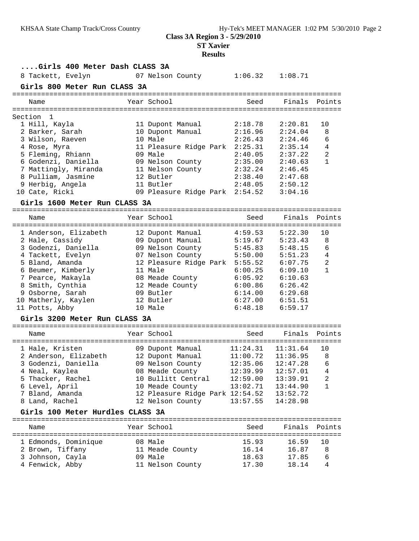**ST Xavier**

| Girls 400 Meter Dash CLASS 3A    |                                 |                       |                       |                |
|----------------------------------|---------------------------------|-----------------------|-----------------------|----------------|
| 8 Tackett, Evelyn                | 07 Nelson County                |                       | $1:06.32$ $1:08.71$   |                |
| Girls 800 Meter Run CLASS 3A     |                                 |                       |                       |                |
|                                  |                                 |                       |                       |                |
| Name                             | Year School                     | Seed                  | Finals                | Points         |
|                                  |                                 |                       |                       |                |
| Section 1                        |                                 |                       |                       |                |
| 1 Hill, Kayla                    | 11 Dupont Manual                | 2:18.78               | 2:20.81               | 10             |
| 2 Barker, Sarah                  | 10 Dupont Manual                | 2:16.96               | 2:24.04               | 8              |
| 3 Wilson, Raeven                 | 10 Male                         | 2:26.43               | 2:24.46               | 6              |
| 4 Rose, Myra                     | 11 Pleasure Ridge Park 2:25.31  |                       | 2:35.14               | 4              |
| 5 Fleming, Rhiann                | 09 Male                         | 2:40.05               | 2:37.22               | $\overline{a}$ |
| 6 Godenzi, Daniella              | 09 Nelson County                | 2:35.00               | 2:40.63               | $\mathbf{1}$   |
| 7 Mattingly, Miranda             | 11 Nelson County                | 2:32.24               | 2:46.45               |                |
| 8 Pulliam, Jasmine               | 12 Butler                       | 2:38.40               | 2:47.68               |                |
| 9 Herbig, Angela                 | 11 Butler                       | 2:48.05               | 2:50.12               |                |
| 10 Cate, Ricki                   | 09 Pleasure Ridge Park 2:54.52  |                       | 3:04.16               |                |
| Girls 1600 Meter Run CLASS 3A    |                                 |                       |                       |                |
|                                  |                                 |                       |                       |                |
| Name                             | Year School                     | Seed                  | Finals                | Points         |
| 1 Anderson, Elizabeth            | 12 Dupont Manual                | 4:59.53               | 5:22.30               | 10             |
| 2 Hale, Cassidy                  | 09 Dupont Manual                | 5:19.67               | 5:23.43               | 8              |
| 3 Godenzi, Daniella              | 09 Nelson County                | 5:45.83               | 5:48.15               | 6              |
| 4 Tackett, Evelyn                | 07 Nelson County                | 5:50.00               | 5:51.23               | 4              |
| 5 Bland, Amanda                  | 12 Pleasure Ridge Park 5:55.52  |                       | 6:07.75               | 2              |
| 6 Beumer, Kimberly               | 11 Male                         | 6:00.25               | 6:09.10               | $\mathbf{1}$   |
| 7 Pearce, Makayla                | 08 Meade County                 | 6:05.92               | 6:10.63               |                |
| 8 Smith, Cynthia                 | 12 Meade County                 | 6:00.86               | 6:26.42               |                |
| 9 Osborne, Sarah                 | 09 Butler                       | 6:14.00               | 6:29.68               |                |
| 10 Matherly, Kaylen              | 12 Butler                       | 6:27.00               | 6:51.51               |                |
| 11 Potts, Abby                   | 10 Male                         | 6:48.18               | 6:59.17               |                |
| Girls 3200 Meter Run CLASS 3A    |                                 |                       |                       |                |
|                                  |                                 |                       |                       |                |
| Name                             | Year School                     | Seed                  | Finals                | Points         |
|                                  |                                 |                       |                       |                |
| 1 Hale, Kristen                  | 09 Dupont Manual                |                       | $11:24.31$ $11:31.64$ | 10             |
| 2 Anderson, Elizabeth            | 12 Dupont Manual                | $11:00.72$ $11:36.95$ |                       | 8              |
| 3 Godenzi, Daniella              | 09 Nelson County                | 12:35.06              | 12:47.28              | 6              |
| 4 Neal, Kaylea                   | 08 Meade County                 |                       |                       | $\overline{4}$ |
| 5 Thacker, Rachel                | 10 Bullitt Central              | 12:59.00              | 13:39.91              | 2              |
| 6 Level, April                   | 10 Meade County                 | 13:02.71              | 13:44.90              | 1              |
| 7 Bland, Amanda                  | 12 Pleasure Ridge Park 12:54.52 |                       | 13:52.72              |                |
| 8 Land, Rachel                   | 12 Nelson County                | 13:57.55              | 14:28.98              |                |
| Girls 100 Meter Hurdles CLASS 3A |                                 |                       |                       |                |
| Name                             | Year School                     | Seed                  | Finals                | Points         |
|                                  |                                 |                       |                       |                |
| 1 Edmonds, Dominique             | 08 Male                         | 15.93                 | 16.59                 | 10             |
| 2 Brown, Tiffany                 | 11 Meade County                 | 16.14                 | 16.87                 | 8              |
| 3 Johnson, Cayla                 | 09 Male                         | 18.63                 | 17.85                 | 6              |
| 4 Fenwick, Abby                  | 11 Nelson County                | 17.30                 | 18.14                 | 4              |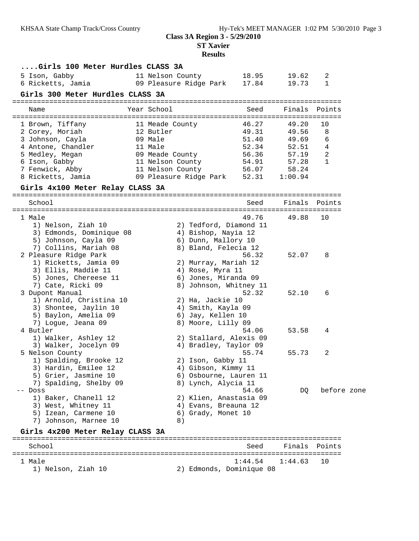**ST Xavier**

| Girls 100 Meter Hurdles CLASS 3A                       |                                          |         |                |                   |  |
|--------------------------------------------------------|------------------------------------------|---------|----------------|-------------------|--|
| 5 Ison, Gabby<br>11 Nelson County<br>6 Ricketts, Jamia | 09 Pleasure Ridge Park 17.84             | 18.95   | 19.62<br>19.73 | 2<br>$\mathbf{1}$ |  |
| Girls 300 Meter Hurdles CLASS 3A                       |                                          |         |                |                   |  |
| Year School<br>Name                                    |                                          | Seed    | Finals         | Points            |  |
| 1 Brown, Tiffany<br>11 Meade County                    |                                          | 46.27   | 49.20          | 10                |  |
| 2 Corey, Moriah<br>12 Butler                           |                                          | 49.31   | 49.56          | 8                 |  |
| 3 Johnson, Cayla<br>09 Male                            |                                          | 51.40   | 49.69          | 6                 |  |
| 4 Antone, Chandler<br>11 Male                          |                                          | 52.34   | 52.51          | 4                 |  |
| 5 Medley, Megan                                        | 09 Meade County                          | 56.36   | 57.19          | 2                 |  |
| 6 Ison, Gabby<br>11 Nelson County                      |                                          | 54.91   | 57.28          | $\mathbf{1}$      |  |
| 7 Fenwick, Abby<br>11 Nelson County                    |                                          | 56.07   | 58.24          |                   |  |
| 8 Ricketts, Jamia                                      | 09 Pleasure Ridge Park 52.31             |         | 1:00.94        |                   |  |
| Girls 4x100 Meter Relay CLASS 3A                       |                                          |         |                |                   |  |
| School                                                 |                                          | Seed    | Finals         | Points            |  |
| 1 Male                                                 |                                          | 49.76   | 49.88          | 10                |  |
| 1) Nelson, Ziah 10                                     | 2) Tedford, Diamond 11                   |         |                |                   |  |
| 3) Edmonds, Dominique 08                               | 4) Bishop, Nayia 12                      |         |                |                   |  |
| 5) Johnson, Cayla 09                                   | 6) Dunn, Mallory 10                      |         |                |                   |  |
| 7) Collins, Mariah 08                                  | 8) Bland, Felecia 12                     |         |                |                   |  |
| 2 Pleasure Ridge Park                                  |                                          | 56.32   | 52.07          | 8                 |  |
| 1) Ricketts, Jamia 09<br>3) Ellis, Maddie 11           | 2) Murray, Mariah 12<br>4) Rose, Myra 11 |         |                |                   |  |
| 5) Jones, Chereese 11                                  | 6) Jones, Miranda 09                     |         |                |                   |  |
| 7) Cate, Ricki 09                                      | 8) Johnson, Whitney 11                   |         |                |                   |  |
| 3 Dupont Manual                                        |                                          | 52.32   | 52.10          | 6                 |  |
| 1) Arnold, Christina 10                                | 2) Ha, Jackie 10                         |         |                |                   |  |
| 3) Shontee, Jaylin 10                                  | 4) Smith, Kayla 09                       |         |                |                   |  |
| 5) Baylon, Amelia 09                                   | 6) Jay, Kellen 10                        |         |                |                   |  |
| 7) Logue, Jeana 09                                     | 8) Moore, Lilly 09                       |         |                |                   |  |
| 4 Butler                                               |                                          | 54.06   | 53.58          | 4                 |  |
| 1) Walker, Ashley 12                                   | 2) Stallard, Alexis 09                   |         |                |                   |  |
| 3) Walker, Jocelyn 09                                  | 4) Bradley, Taylor 09                    |         |                |                   |  |
| 5 Nelson County<br>1) Spalding, Brooke 12              |                                          | 55.74   | 55.73          | 2                 |  |
| 3) Hardin, Emilee 12                                   | 2) Ison, Gabby 11<br>4) Gibson, Kimmy 11 |         |                |                   |  |
| 5) Grier, Jasmine 10                                   | 6) Osbourne, Lauren 11                   |         |                |                   |  |
| 7) Spalding, Shelby 09                                 | 8) Lynch, Alycia 11                      |         |                |                   |  |
| -- Doss                                                |                                          | 54.66   | DQ.            | before zone       |  |
| 1) Baker, Chanell 12                                   | 2) Klien, Anastasia 09                   |         |                |                   |  |
| 3) West, Whitney 11                                    | 4) Evans, Breauna 12                     |         |                |                   |  |
| 5) Izean, Carmene 10                                   | 6) Grady, Monet 10                       |         |                |                   |  |
| 7) Johnson, Marnee 10                                  | 8)                                       |         |                |                   |  |
| Girls 4x200 Meter Relay CLASS 3A                       |                                          |         |                |                   |  |
| School                                                 |                                          | Seed    | Finals         | Points            |  |
| 1 Male                                                 |                                          | 1:44.54 | 1:44.63        | 10                |  |
| 1) Nelson, Ziah 10                                     | 2) Edmonds, Dominique 08                 |         |                |                   |  |
|                                                        |                                          |         |                |                   |  |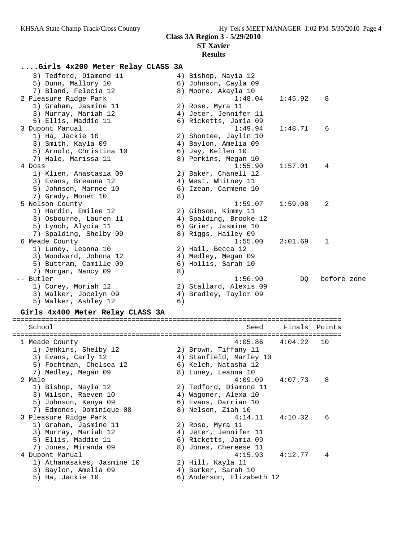### **Results**

# **....Girls 4x200 Meter Relay CLASS 3A**

|           | 3) Tedford, Diamond 11  |    | 4) Bishop, Nayia 12    |         |             |
|-----------|-------------------------|----|------------------------|---------|-------------|
|           | 5) Dunn, Mallory 10     |    | 6) Johnson, Cayla 09   |         |             |
|           | 7) Bland, Felecia 12    |    | 8) Moore, Akayla 10    |         |             |
|           | 2 Pleasure Ridge Park   |    | 1:48.04                | 1:45.92 | 8           |
|           | 1) Graham, Jasmine 11   |    | 2) Rose, Myra 11       |         |             |
|           | 3) Murray, Mariah 12    |    | 4) Jeter, Jennifer 11  |         |             |
|           | 5) Ellis, Maddie 11     |    | 6) Ricketts, Jamia 09  |         |             |
|           | 3 Dupont Manual         |    | 1:49.94                | 1:48.71 | 6           |
|           | 1) Ha, Jackie 10        |    | 2) Shontee, Jaylin 10  |         |             |
|           | 3) Smith, Kayla 09      |    | 4) Baylon, Amelia 09   |         |             |
|           | 5) Arnold, Christina 10 |    | 6) Jay, Kellen 10      |         |             |
|           | 7) Hale, Marissa 11     |    | 8) Perkins, Megan 10   |         |             |
| 4 Doss    |                         |    | 1:55.90                | 1:57.01 | 4           |
|           | 1) Klien, Anastasia 09  |    | 2) Baker, Chanell 12   |         |             |
|           | 3) Evans, Breauna 12    |    | 4) West, Whitney 11    |         |             |
|           | 5) Johnson, Marnee 10   |    | 6) Izean, Carmene 10   |         |             |
|           | 7) Grady, Monet 10      | 8) |                        |         |             |
|           | 5 Nelson County         |    | 1:59.07                | 1:59.08 | 2           |
|           | 1) Hardin, Emilee 12    |    | 2) Gibson, Kimmy 11    |         |             |
|           | 3) Osbourne, Lauren 11  |    | 4) Spalding, Brooke 12 |         |             |
|           | 5) Lynch, Alycia 11     |    | 6) Grier, Jasmine 10   |         |             |
|           | 7) Spalding, Shelby 09  |    | 8) Riggs, Hailey 09    |         |             |
|           | 6 Meade County          |    | 1:55.00                | 2:01.69 | 1           |
|           | 1) Luney, Leanna 10     |    | 2) Hail, Becca 12      |         |             |
|           | 3) Woodward, Johnna 12  |    | 4) Medley, Megan 09    |         |             |
|           | 5) Buttram, Camille 09  |    | 6) Hollis, Sarah 10    |         |             |
|           | 7) Morgan, Nancy 09     | 8) |                        |         |             |
| -- Butler |                         |    | 1:50.90                | DQ      | before zone |
|           | 1) Corey, Moriah 12     |    | 2) Stallard, Alexis 09 |         |             |
|           | 3) Walker, Jocelyn 09   |    | 4) Bradley, Taylor 09  |         |             |
|           | 5) Walker, Ashley 12    | 6) |                        |         |             |

#### **Girls 4x400 Meter Relay CLASS 3A**

| School                     |    | Seed                    | Finals Points       |    |
|----------------------------|----|-------------------------|---------------------|----|
| 1 Meade County             |    |                         | $4:05.86$ $4:04.22$ | 10 |
| 1) Jenkins, Shelby 12      |    | 2) Brown, Tiffany 11    |                     |    |
| 3) Evans, Carly 12         |    | 4) Stanfield, Marley 10 |                     |    |
| 5) Fochtman, Chelsea 12    |    | 6) Kelch, Natasha 12    |                     |    |
| 7) Medley, Megan 09        |    | 8) Luney, Leanna 10     |                     |    |
| 2 Male                     |    | 4:09.09                 | 4:07.73             | 8  |
| 1) Bishop, Nayia 12        |    | 2) Tedford, Diamond 11  |                     |    |
| 3) Wilson, Raeven 10       | 4) | Wagoner, Alexa 10       |                     |    |
| 5) Johnson, Kenya 09       |    | 6) Evans, Darrian 10    |                     |    |
| 7) Edmonds, Dominique 08   |    | 8) Nelson, Ziah 10      |                     |    |
| 3 Pleasure Ridge Park      |    | 4:14.11                 | 4:10.32             | 6  |
| 1) Graham, Jasmine 11      |    | 2) Rose, Myra 11        |                     |    |
| 3) Murray, Mariah 12       |    | 4) Jeter, Jennifer 11   |                     |    |
| 5) Ellis, Maddie 11        |    | 6) Ricketts, Jamia 09   |                     |    |
| 7) Jones, Miranda 09       |    | 8) Jones, Chereese 11   |                     |    |
| 4 Dupont Manual            |    | 4:15.93                 | 4:12.77             | 4  |
| 1) Athanasakes, Jasmine 10 |    | 2) Hill, Kayla 11       |                     |    |
| 3) Baylon, Amelia 09       | 4) | Barker, Sarah 10        |                     |    |
| 5) Ha, Jackie 10           | 6) | Anderson, Elizabeth 12  |                     |    |
|                            |    |                         |                     |    |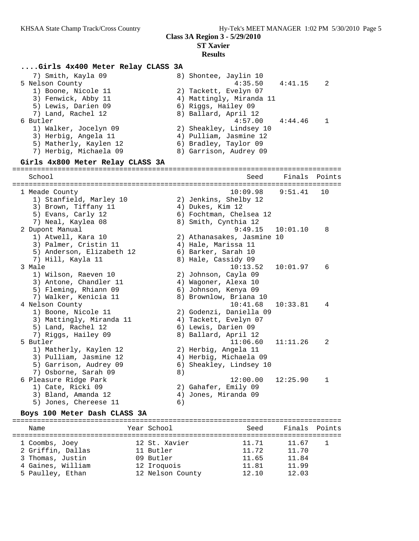### **Results**

#### **....Girls 4x400 Meter Relay CLASS 3A**

| 7) Smith, Kayla 09     | 8) Shontee, Jaylin 10    |                |
|------------------------|--------------------------|----------------|
| 5 Nelson County        | $4:35.50$ $4:41.15$      | $\overline{2}$ |
| 1) Boone, Nicole 11    | 2) Tackett, Evelyn 07    |                |
| 3) Fenwick, Abby 11    | 4) Mattingly, Miranda 11 |                |
| 5) Lewis, Darien 09    | 6) Riggs, Hailey 09      |                |
| 7) Land, Rachel 12     | 8) Ballard, April 12     |                |
| 6 Butler               | 4:57.00<br>4:44.46       |                |
| 1) Walker, Jocelyn 09  | 2) Sheakley, Lindsey 10  |                |
| 3) Herbig, Angela 11   | 4) Pulliam, Jasmine 12   |                |
| 5) Matherly, Kaylen 12 | 6) Bradley, Taylor 09    |                |
| 7) Herbig, Michaela 09 | 8) Garrison, Audrey 09   |                |
|                        |                          |                |

#### **Girls 4x800 Meter Relay CLASS 3A**

================================================================================ School Seed Finals Points ================================================================================ 1 Meade County 10:09.98 9:51.41 10 1) Stanfield, Marley 10 2) Jenkins, Shelby 12 3) Brown, Tiffany 11  $\qquad \qquad \qquad$  4) Dukes, Kim 12 5) Evans, Carly 12 6) Fochtman, Chelsea 12 7) Neal, Kaylea 08 8) Smith, Cynthia 12 2 Dupont Manual 9:49.15 10:01.10 8 1) Atwell, Kara 10 2) Athanasakes, Jasmine 10 3) Palmer, Cristin 11 (4) Hale, Marissa 11 5) Anderson, Elizabeth 12 6) Barker, Sarah 10 7) Hill, Kayla 11 8) Hale, Cassidy 09 3 Male 10:13.52 10:01.97 6 1) Wilson, Raeven 10 2) Johnson, Cayla 09 3) Antone, Chandler 11 (4) Wagoner, Alexa 10 5) Fleming, Rhiann 09 6) Johnson, Kenya 09 7) Walker, Kenicia 11 8) Brownlow, Briana 10 4 Nelson County 10:41.68 10:33.81 4 1) Boone, Nicole 11 2) Godenzi, Daniella 09 3) Mattingly, Miranda 11 4) Tackett, Evelyn 07 5) Land, Rachel 12 6) Lewis, Darien 09 7) Riggs, Hailey 09 8) Ballard, April 12 5 Butler 11:06.60 11:11.26 2 1) Matherly, Kaylen 12 2) Herbig, Angela 11 3) Pulliam, Jasmine 12 4) Herbig, Michaela 09 5) Garrison, Audrey 09 6) Sheakley, Lindsey 10 7) Osborne, Sarah 09 8) 6 Pleasure Ridge Park 12:00.00 12:25.90 1 1) Cate, Ricki 09 2) Gahafer, Emily 09 3) Bland, Amanda 12 4) Jones, Miranda 09 5) Jones, Chereese 11 6)

#### **Boys 100 Meter Dash CLASS 3A**

| Name              | Year School      | Seed  | Finals Points |  |
|-------------------|------------------|-------|---------------|--|
| 1 Coombs, Joey    | 12 St. Xavier    | 11.71 | 11.67         |  |
| 2 Griffin, Dallas | 11 Butler        | 11.72 | 11.70         |  |
| 3 Thomas, Justin  | 09 Butler        | 11.65 | 11.84         |  |
| 4 Gaines, William | 12 Iroquois      | 11.81 | 11.99         |  |
| 5 Paulley, Ethan  | 12 Nelson County | 12.10 | 12.03         |  |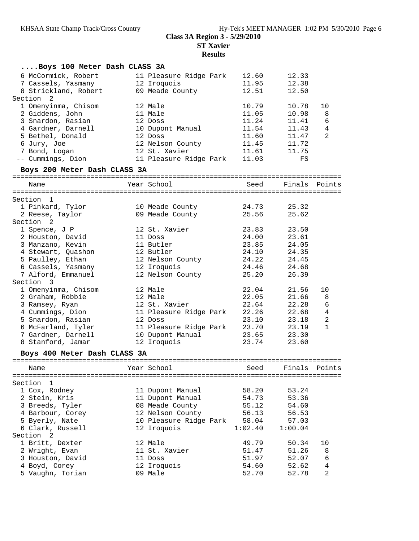| 6 McCormick, Robert<br>12.60<br>12.33<br>11 Pleasure Ridge Park<br>12 Iroquois<br>11.95<br>12.38<br>7 Cassels, Yasmany<br>8 Strickland, Robert<br>09 Meade County<br>12.51<br>12.50<br>Section <sub>2</sub><br>1 Omenyinma, Chisom<br>12 Male<br>10.79<br>10.78<br>10<br>2 Giddens, John<br>11 Male<br>11.05<br>10.98<br>8<br>11.24<br>6<br>3 Snardon, Rasian<br>12 Doss<br>11.41<br>$\overline{4}$<br>4 Gardner, Darnell<br>11.54<br>11.43<br>10 Dupont Manual<br>2<br>5 Bethel, Donald<br>12 Doss<br>11.60<br>11.47<br>6 Jury, Joe<br>12 Nelson County<br>11.45<br>11.72<br>12 St. Xavier<br>11.61<br>7 Bond, Logan<br>11.75<br>-- Cummings, Dion<br>11 Pleasure Ridge Park<br>11.03<br>FS<br>Boys 200 Meter Dash CLASS 3A<br>Year School<br>Name<br>Seed<br>Finals Points<br>Section<br>$\mathbf{1}$<br>1 Pinkard, Tylor<br>24.73<br>25.32<br>10 Meade County<br>09 Meade County<br>25.56<br>25.62<br>2 Reese, Taylor<br>Section 2<br>1 Spence, J P<br>12 St. Xavier<br>23.83<br>23.50<br>2 Houston, David<br>24.00<br>23.61<br>11 Doss<br>11 Butler<br>23.85<br>24.05<br>3 Manzano, Kevin<br>4 Stewart, Quashon<br>12 Butler<br>24.10<br>24.35<br>24.22<br>24.45<br>5 Paulley, Ethan<br>12 Nelson County<br>24.46<br>24.68<br>6 Cassels, Yasmany<br>12 Iroquois<br>7 Alford, Emmanuel<br>25.20<br>26.39<br>12 Nelson County<br>Section 3<br>1 Omenyinma, Chisom<br>22.04<br>21.56<br>10<br>12 Male<br>2 Graham, Robbie<br>12 Male<br>22.05<br>21.66<br>8<br>12 St. Xavier<br>6<br>3 Ramsey, Ryan<br>22.64<br>22.28<br>$\overline{4}$<br>22.26<br>4 Cummings, Dion<br>11 Pleasure Ridge Park<br>22.68<br>5 Snardon, Rasian<br>2<br>23.10<br>23.18<br>12 Doss<br>6 McFarland, Tyler<br>$\mathbf{1}$<br>11 Pleasure Ridge Park<br>23.70<br>23.19<br>7 Gardner, Darnell<br>10 Dupont Manual<br>23.65<br>23.30<br>12 Iroquois<br>8 Stanford, Jamar<br>23.74<br>23.60<br>Boys 400 Meter Dash CLASS 3A<br>Year School<br>Finals<br>Name<br>Seed<br>Section<br>ı<br>1 Cox, Rodney<br>11 Dupont Manual<br>58.20<br>53.24<br>2 Stein, Kris<br>11 Dupont Manual<br>54.73<br>53.36<br>3 Breeds, Tyler<br>08 Meade County<br>55.12<br>54.60<br>12 Nelson County<br>4 Barbour, Corey<br>56.13<br>56.53<br>5 Byerly, Nate<br>10 Pleasure Ridge Park<br>58.04<br>57.03<br>6 Clark, Russell<br>12 Iroquois<br>1:02.40<br>1:00.04<br>Section<br>2<br>1 Britt, Dexter<br>12 Male<br>49.79<br>50.34<br>10 | Boys 100 Meter Dash CLASS 3A |  |  |  |        |
|-------------------------------------------------------------------------------------------------------------------------------------------------------------------------------------------------------------------------------------------------------------------------------------------------------------------------------------------------------------------------------------------------------------------------------------------------------------------------------------------------------------------------------------------------------------------------------------------------------------------------------------------------------------------------------------------------------------------------------------------------------------------------------------------------------------------------------------------------------------------------------------------------------------------------------------------------------------------------------------------------------------------------------------------------------------------------------------------------------------------------------------------------------------------------------------------------------------------------------------------------------------------------------------------------------------------------------------------------------------------------------------------------------------------------------------------------------------------------------------------------------------------------------------------------------------------------------------------------------------------------------------------------------------------------------------------------------------------------------------------------------------------------------------------------------------------------------------------------------------------------------------------------------------------------------------------------------------------------------------------------------------------------------------------------------------------------------------------------------------------------------------------------------------------------------------------------------------------------------------------------------------------------------------------------------------------------------------------------------------------------------------------|------------------------------|--|--|--|--------|
|                                                                                                                                                                                                                                                                                                                                                                                                                                                                                                                                                                                                                                                                                                                                                                                                                                                                                                                                                                                                                                                                                                                                                                                                                                                                                                                                                                                                                                                                                                                                                                                                                                                                                                                                                                                                                                                                                                                                                                                                                                                                                                                                                                                                                                                                                                                                                                                           |                              |  |  |  |        |
|                                                                                                                                                                                                                                                                                                                                                                                                                                                                                                                                                                                                                                                                                                                                                                                                                                                                                                                                                                                                                                                                                                                                                                                                                                                                                                                                                                                                                                                                                                                                                                                                                                                                                                                                                                                                                                                                                                                                                                                                                                                                                                                                                                                                                                                                                                                                                                                           |                              |  |  |  |        |
|                                                                                                                                                                                                                                                                                                                                                                                                                                                                                                                                                                                                                                                                                                                                                                                                                                                                                                                                                                                                                                                                                                                                                                                                                                                                                                                                                                                                                                                                                                                                                                                                                                                                                                                                                                                                                                                                                                                                                                                                                                                                                                                                                                                                                                                                                                                                                                                           |                              |  |  |  |        |
|                                                                                                                                                                                                                                                                                                                                                                                                                                                                                                                                                                                                                                                                                                                                                                                                                                                                                                                                                                                                                                                                                                                                                                                                                                                                                                                                                                                                                                                                                                                                                                                                                                                                                                                                                                                                                                                                                                                                                                                                                                                                                                                                                                                                                                                                                                                                                                                           |                              |  |  |  |        |
|                                                                                                                                                                                                                                                                                                                                                                                                                                                                                                                                                                                                                                                                                                                                                                                                                                                                                                                                                                                                                                                                                                                                                                                                                                                                                                                                                                                                                                                                                                                                                                                                                                                                                                                                                                                                                                                                                                                                                                                                                                                                                                                                                                                                                                                                                                                                                                                           |                              |  |  |  |        |
|                                                                                                                                                                                                                                                                                                                                                                                                                                                                                                                                                                                                                                                                                                                                                                                                                                                                                                                                                                                                                                                                                                                                                                                                                                                                                                                                                                                                                                                                                                                                                                                                                                                                                                                                                                                                                                                                                                                                                                                                                                                                                                                                                                                                                                                                                                                                                                                           |                              |  |  |  |        |
|                                                                                                                                                                                                                                                                                                                                                                                                                                                                                                                                                                                                                                                                                                                                                                                                                                                                                                                                                                                                                                                                                                                                                                                                                                                                                                                                                                                                                                                                                                                                                                                                                                                                                                                                                                                                                                                                                                                                                                                                                                                                                                                                                                                                                                                                                                                                                                                           |                              |  |  |  |        |
|                                                                                                                                                                                                                                                                                                                                                                                                                                                                                                                                                                                                                                                                                                                                                                                                                                                                                                                                                                                                                                                                                                                                                                                                                                                                                                                                                                                                                                                                                                                                                                                                                                                                                                                                                                                                                                                                                                                                                                                                                                                                                                                                                                                                                                                                                                                                                                                           |                              |  |  |  |        |
|                                                                                                                                                                                                                                                                                                                                                                                                                                                                                                                                                                                                                                                                                                                                                                                                                                                                                                                                                                                                                                                                                                                                                                                                                                                                                                                                                                                                                                                                                                                                                                                                                                                                                                                                                                                                                                                                                                                                                                                                                                                                                                                                                                                                                                                                                                                                                                                           |                              |  |  |  |        |
|                                                                                                                                                                                                                                                                                                                                                                                                                                                                                                                                                                                                                                                                                                                                                                                                                                                                                                                                                                                                                                                                                                                                                                                                                                                                                                                                                                                                                                                                                                                                                                                                                                                                                                                                                                                                                                                                                                                                                                                                                                                                                                                                                                                                                                                                                                                                                                                           |                              |  |  |  |        |
|                                                                                                                                                                                                                                                                                                                                                                                                                                                                                                                                                                                                                                                                                                                                                                                                                                                                                                                                                                                                                                                                                                                                                                                                                                                                                                                                                                                                                                                                                                                                                                                                                                                                                                                                                                                                                                                                                                                                                                                                                                                                                                                                                                                                                                                                                                                                                                                           |                              |  |  |  |        |
|                                                                                                                                                                                                                                                                                                                                                                                                                                                                                                                                                                                                                                                                                                                                                                                                                                                                                                                                                                                                                                                                                                                                                                                                                                                                                                                                                                                                                                                                                                                                                                                                                                                                                                                                                                                                                                                                                                                                                                                                                                                                                                                                                                                                                                                                                                                                                                                           |                              |  |  |  |        |
|                                                                                                                                                                                                                                                                                                                                                                                                                                                                                                                                                                                                                                                                                                                                                                                                                                                                                                                                                                                                                                                                                                                                                                                                                                                                                                                                                                                                                                                                                                                                                                                                                                                                                                                                                                                                                                                                                                                                                                                                                                                                                                                                                                                                                                                                                                                                                                                           |                              |  |  |  |        |
|                                                                                                                                                                                                                                                                                                                                                                                                                                                                                                                                                                                                                                                                                                                                                                                                                                                                                                                                                                                                                                                                                                                                                                                                                                                                                                                                                                                                                                                                                                                                                                                                                                                                                                                                                                                                                                                                                                                                                                                                                                                                                                                                                                                                                                                                                                                                                                                           |                              |  |  |  |        |
|                                                                                                                                                                                                                                                                                                                                                                                                                                                                                                                                                                                                                                                                                                                                                                                                                                                                                                                                                                                                                                                                                                                                                                                                                                                                                                                                                                                                                                                                                                                                                                                                                                                                                                                                                                                                                                                                                                                                                                                                                                                                                                                                                                                                                                                                                                                                                                                           |                              |  |  |  |        |
|                                                                                                                                                                                                                                                                                                                                                                                                                                                                                                                                                                                                                                                                                                                                                                                                                                                                                                                                                                                                                                                                                                                                                                                                                                                                                                                                                                                                                                                                                                                                                                                                                                                                                                                                                                                                                                                                                                                                                                                                                                                                                                                                                                                                                                                                                                                                                                                           |                              |  |  |  |        |
|                                                                                                                                                                                                                                                                                                                                                                                                                                                                                                                                                                                                                                                                                                                                                                                                                                                                                                                                                                                                                                                                                                                                                                                                                                                                                                                                                                                                                                                                                                                                                                                                                                                                                                                                                                                                                                                                                                                                                                                                                                                                                                                                                                                                                                                                                                                                                                                           |                              |  |  |  |        |
|                                                                                                                                                                                                                                                                                                                                                                                                                                                                                                                                                                                                                                                                                                                                                                                                                                                                                                                                                                                                                                                                                                                                                                                                                                                                                                                                                                                                                                                                                                                                                                                                                                                                                                                                                                                                                                                                                                                                                                                                                                                                                                                                                                                                                                                                                                                                                                                           |                              |  |  |  |        |
|                                                                                                                                                                                                                                                                                                                                                                                                                                                                                                                                                                                                                                                                                                                                                                                                                                                                                                                                                                                                                                                                                                                                                                                                                                                                                                                                                                                                                                                                                                                                                                                                                                                                                                                                                                                                                                                                                                                                                                                                                                                                                                                                                                                                                                                                                                                                                                                           |                              |  |  |  |        |
|                                                                                                                                                                                                                                                                                                                                                                                                                                                                                                                                                                                                                                                                                                                                                                                                                                                                                                                                                                                                                                                                                                                                                                                                                                                                                                                                                                                                                                                                                                                                                                                                                                                                                                                                                                                                                                                                                                                                                                                                                                                                                                                                                                                                                                                                                                                                                                                           |                              |  |  |  |        |
|                                                                                                                                                                                                                                                                                                                                                                                                                                                                                                                                                                                                                                                                                                                                                                                                                                                                                                                                                                                                                                                                                                                                                                                                                                                                                                                                                                                                                                                                                                                                                                                                                                                                                                                                                                                                                                                                                                                                                                                                                                                                                                                                                                                                                                                                                                                                                                                           |                              |  |  |  |        |
|                                                                                                                                                                                                                                                                                                                                                                                                                                                                                                                                                                                                                                                                                                                                                                                                                                                                                                                                                                                                                                                                                                                                                                                                                                                                                                                                                                                                                                                                                                                                                                                                                                                                                                                                                                                                                                                                                                                                                                                                                                                                                                                                                                                                                                                                                                                                                                                           |                              |  |  |  |        |
|                                                                                                                                                                                                                                                                                                                                                                                                                                                                                                                                                                                                                                                                                                                                                                                                                                                                                                                                                                                                                                                                                                                                                                                                                                                                                                                                                                                                                                                                                                                                                                                                                                                                                                                                                                                                                                                                                                                                                                                                                                                                                                                                                                                                                                                                                                                                                                                           |                              |  |  |  |        |
|                                                                                                                                                                                                                                                                                                                                                                                                                                                                                                                                                                                                                                                                                                                                                                                                                                                                                                                                                                                                                                                                                                                                                                                                                                                                                                                                                                                                                                                                                                                                                                                                                                                                                                                                                                                                                                                                                                                                                                                                                                                                                                                                                                                                                                                                                                                                                                                           |                              |  |  |  |        |
|                                                                                                                                                                                                                                                                                                                                                                                                                                                                                                                                                                                                                                                                                                                                                                                                                                                                                                                                                                                                                                                                                                                                                                                                                                                                                                                                                                                                                                                                                                                                                                                                                                                                                                                                                                                                                                                                                                                                                                                                                                                                                                                                                                                                                                                                                                                                                                                           |                              |  |  |  |        |
|                                                                                                                                                                                                                                                                                                                                                                                                                                                                                                                                                                                                                                                                                                                                                                                                                                                                                                                                                                                                                                                                                                                                                                                                                                                                                                                                                                                                                                                                                                                                                                                                                                                                                                                                                                                                                                                                                                                                                                                                                                                                                                                                                                                                                                                                                                                                                                                           |                              |  |  |  |        |
|                                                                                                                                                                                                                                                                                                                                                                                                                                                                                                                                                                                                                                                                                                                                                                                                                                                                                                                                                                                                                                                                                                                                                                                                                                                                                                                                                                                                                                                                                                                                                                                                                                                                                                                                                                                                                                                                                                                                                                                                                                                                                                                                                                                                                                                                                                                                                                                           |                              |  |  |  |        |
|                                                                                                                                                                                                                                                                                                                                                                                                                                                                                                                                                                                                                                                                                                                                                                                                                                                                                                                                                                                                                                                                                                                                                                                                                                                                                                                                                                                                                                                                                                                                                                                                                                                                                                                                                                                                                                                                                                                                                                                                                                                                                                                                                                                                                                                                                                                                                                                           |                              |  |  |  |        |
|                                                                                                                                                                                                                                                                                                                                                                                                                                                                                                                                                                                                                                                                                                                                                                                                                                                                                                                                                                                                                                                                                                                                                                                                                                                                                                                                                                                                                                                                                                                                                                                                                                                                                                                                                                                                                                                                                                                                                                                                                                                                                                                                                                                                                                                                                                                                                                                           |                              |  |  |  |        |
|                                                                                                                                                                                                                                                                                                                                                                                                                                                                                                                                                                                                                                                                                                                                                                                                                                                                                                                                                                                                                                                                                                                                                                                                                                                                                                                                                                                                                                                                                                                                                                                                                                                                                                                                                                                                                                                                                                                                                                                                                                                                                                                                                                                                                                                                                                                                                                                           |                              |  |  |  |        |
|                                                                                                                                                                                                                                                                                                                                                                                                                                                                                                                                                                                                                                                                                                                                                                                                                                                                                                                                                                                                                                                                                                                                                                                                                                                                                                                                                                                                                                                                                                                                                                                                                                                                                                                                                                                                                                                                                                                                                                                                                                                                                                                                                                                                                                                                                                                                                                                           |                              |  |  |  |        |
|                                                                                                                                                                                                                                                                                                                                                                                                                                                                                                                                                                                                                                                                                                                                                                                                                                                                                                                                                                                                                                                                                                                                                                                                                                                                                                                                                                                                                                                                                                                                                                                                                                                                                                                                                                                                                                                                                                                                                                                                                                                                                                                                                                                                                                                                                                                                                                                           |                              |  |  |  |        |
|                                                                                                                                                                                                                                                                                                                                                                                                                                                                                                                                                                                                                                                                                                                                                                                                                                                                                                                                                                                                                                                                                                                                                                                                                                                                                                                                                                                                                                                                                                                                                                                                                                                                                                                                                                                                                                                                                                                                                                                                                                                                                                                                                                                                                                                                                                                                                                                           |                              |  |  |  |        |
|                                                                                                                                                                                                                                                                                                                                                                                                                                                                                                                                                                                                                                                                                                                                                                                                                                                                                                                                                                                                                                                                                                                                                                                                                                                                                                                                                                                                                                                                                                                                                                                                                                                                                                                                                                                                                                                                                                                                                                                                                                                                                                                                                                                                                                                                                                                                                                                           |                              |  |  |  |        |
|                                                                                                                                                                                                                                                                                                                                                                                                                                                                                                                                                                                                                                                                                                                                                                                                                                                                                                                                                                                                                                                                                                                                                                                                                                                                                                                                                                                                                                                                                                                                                                                                                                                                                                                                                                                                                                                                                                                                                                                                                                                                                                                                                                                                                                                                                                                                                                                           |                              |  |  |  |        |
|                                                                                                                                                                                                                                                                                                                                                                                                                                                                                                                                                                                                                                                                                                                                                                                                                                                                                                                                                                                                                                                                                                                                                                                                                                                                                                                                                                                                                                                                                                                                                                                                                                                                                                                                                                                                                                                                                                                                                                                                                                                                                                                                                                                                                                                                                                                                                                                           |                              |  |  |  | Points |
|                                                                                                                                                                                                                                                                                                                                                                                                                                                                                                                                                                                                                                                                                                                                                                                                                                                                                                                                                                                                                                                                                                                                                                                                                                                                                                                                                                                                                                                                                                                                                                                                                                                                                                                                                                                                                                                                                                                                                                                                                                                                                                                                                                                                                                                                                                                                                                                           |                              |  |  |  |        |
|                                                                                                                                                                                                                                                                                                                                                                                                                                                                                                                                                                                                                                                                                                                                                                                                                                                                                                                                                                                                                                                                                                                                                                                                                                                                                                                                                                                                                                                                                                                                                                                                                                                                                                                                                                                                                                                                                                                                                                                                                                                                                                                                                                                                                                                                                                                                                                                           |                              |  |  |  |        |
|                                                                                                                                                                                                                                                                                                                                                                                                                                                                                                                                                                                                                                                                                                                                                                                                                                                                                                                                                                                                                                                                                                                                                                                                                                                                                                                                                                                                                                                                                                                                                                                                                                                                                                                                                                                                                                                                                                                                                                                                                                                                                                                                                                                                                                                                                                                                                                                           |                              |  |  |  |        |
|                                                                                                                                                                                                                                                                                                                                                                                                                                                                                                                                                                                                                                                                                                                                                                                                                                                                                                                                                                                                                                                                                                                                                                                                                                                                                                                                                                                                                                                                                                                                                                                                                                                                                                                                                                                                                                                                                                                                                                                                                                                                                                                                                                                                                                                                                                                                                                                           |                              |  |  |  |        |
|                                                                                                                                                                                                                                                                                                                                                                                                                                                                                                                                                                                                                                                                                                                                                                                                                                                                                                                                                                                                                                                                                                                                                                                                                                                                                                                                                                                                                                                                                                                                                                                                                                                                                                                                                                                                                                                                                                                                                                                                                                                                                                                                                                                                                                                                                                                                                                                           |                              |  |  |  |        |
|                                                                                                                                                                                                                                                                                                                                                                                                                                                                                                                                                                                                                                                                                                                                                                                                                                                                                                                                                                                                                                                                                                                                                                                                                                                                                                                                                                                                                                                                                                                                                                                                                                                                                                                                                                                                                                                                                                                                                                                                                                                                                                                                                                                                                                                                                                                                                                                           |                              |  |  |  |        |
|                                                                                                                                                                                                                                                                                                                                                                                                                                                                                                                                                                                                                                                                                                                                                                                                                                                                                                                                                                                                                                                                                                                                                                                                                                                                                                                                                                                                                                                                                                                                                                                                                                                                                                                                                                                                                                                                                                                                                                                                                                                                                                                                                                                                                                                                                                                                                                                           |                              |  |  |  |        |
|                                                                                                                                                                                                                                                                                                                                                                                                                                                                                                                                                                                                                                                                                                                                                                                                                                                                                                                                                                                                                                                                                                                                                                                                                                                                                                                                                                                                                                                                                                                                                                                                                                                                                                                                                                                                                                                                                                                                                                                                                                                                                                                                                                                                                                                                                                                                                                                           |                              |  |  |  |        |
|                                                                                                                                                                                                                                                                                                                                                                                                                                                                                                                                                                                                                                                                                                                                                                                                                                                                                                                                                                                                                                                                                                                                                                                                                                                                                                                                                                                                                                                                                                                                                                                                                                                                                                                                                                                                                                                                                                                                                                                                                                                                                                                                                                                                                                                                                                                                                                                           |                              |  |  |  |        |
| 2 Wright, Evan<br>11 St. Xavier<br>51.47<br>51.26<br>8                                                                                                                                                                                                                                                                                                                                                                                                                                                                                                                                                                                                                                                                                                                                                                                                                                                                                                                                                                                                                                                                                                                                                                                                                                                                                                                                                                                                                                                                                                                                                                                                                                                                                                                                                                                                                                                                                                                                                                                                                                                                                                                                                                                                                                                                                                                                    |                              |  |  |  |        |
| 6<br>3 Houston, David<br>11 Doss<br>51.97<br>52.07                                                                                                                                                                                                                                                                                                                                                                                                                                                                                                                                                                                                                                                                                                                                                                                                                                                                                                                                                                                                                                                                                                                                                                                                                                                                                                                                                                                                                                                                                                                                                                                                                                                                                                                                                                                                                                                                                                                                                                                                                                                                                                                                                                                                                                                                                                                                        |                              |  |  |  |        |
| $\sqrt{4}$<br>54.60<br>4 Boyd, Corey<br>12 Iroquois<br>52.62                                                                                                                                                                                                                                                                                                                                                                                                                                                                                                                                                                                                                                                                                                                                                                                                                                                                                                                                                                                                                                                                                                                                                                                                                                                                                                                                                                                                                                                                                                                                                                                                                                                                                                                                                                                                                                                                                                                                                                                                                                                                                                                                                                                                                                                                                                                              |                              |  |  |  |        |
| 2<br>5 Vaughn, Torian<br>09 Male<br>52.70<br>52.78                                                                                                                                                                                                                                                                                                                                                                                                                                                                                                                                                                                                                                                                                                                                                                                                                                                                                                                                                                                                                                                                                                                                                                                                                                                                                                                                                                                                                                                                                                                                                                                                                                                                                                                                                                                                                                                                                                                                                                                                                                                                                                                                                                                                                                                                                                                                        |                              |  |  |  |        |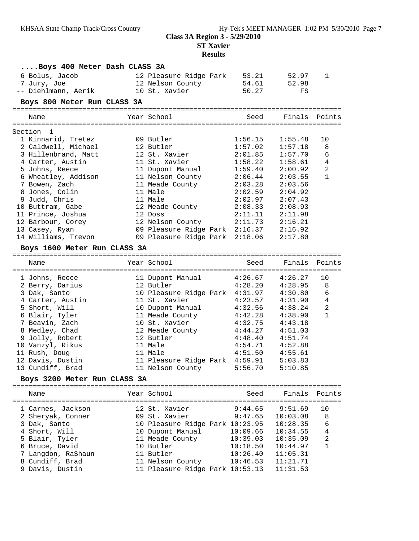**ST Xavier**

| Boys 400 Meter Dash CLASS 3A                         |                                                                         |                         |                      |                |
|------------------------------------------------------|-------------------------------------------------------------------------|-------------------------|----------------------|----------------|
| 6 Bolus, Jacob<br>7 Jury, Joe<br>-- Diehlmann, Aerik | 12 Pleasure Ridge Park<br>12 Nelson County<br>10 St. Xavier             | 53.21<br>54.61<br>50.27 | 52.97<br>52.98<br>FS | 1              |
| Boys 800 Meter Run CLASS 3A                          |                                                                         |                         |                      |                |
| Name                                                 | Year School                                                             | Seed                    | Finals Points        |                |
|                                                      |                                                                         |                         |                      |                |
| Section 1                                            |                                                                         |                         |                      |                |
| 1 Kinnarid, Tretez                                   | 09 Butler                                                               | 1:56.15                 | 1:55.48              | 10             |
| 2 Caldwell, Michael                                  | 12 Butler                                                               | 1:57.02                 | 1:57.18              | 8              |
| 3 Hillenbrand, Matt                                  | 12 St. Xavier                                                           | 2:01.85                 | 1:57.70              | 6              |
| 4 Carter, Austin                                     | 11 St. Xavier                                                           | 1:58.22                 | 1:58.61              | $\sqrt{4}$     |
| 5 Johns, Reece                                       | 11 Dupont Manual                                                        | 1:59.40                 | 2:00.92              | $\sqrt{2}$     |
| 6 Wheatley, Addison                                  | 11 Nelson County                                                        | 2:06.44                 | 2:03.55              | 1              |
| 7 Bowen, Zach                                        | 11 Meade County                                                         | 2:03.28                 | 2:03.56              |                |
| 8 Jones, Colin                                       | 11 Male                                                                 | 2:02.59                 | 2:04.92              |                |
| 9 Judd, Chris                                        | 11 Male                                                                 | 2:02.97                 | 2:07.43              |                |
| 10 Buttram, Gabe                                     | 12 Meade County                                                         | 2:08.33                 | 2:08.93              |                |
| 11 Prince, Joshua                                    | 12 Doss                                                                 | $2:11.11$<br>$2:2$      | 2:11.98              |                |
| 12 Barbour, Corey                                    | 12 Nelson County                                                        | 2:11.73                 | 2:16.21              |                |
| 13 Casey, Ryan                                       | 09 Pleasure Ridge Park 2:16.37 2:16.92                                  |                         |                      |                |
| 14 Williams, Trevon                                  | 09 Pleasure Ridge Park 2:18.06                                          |                         | 2:17.80              |                |
| Boys 1600 Meter Run CLASS 3A                         |                                                                         |                         |                      |                |
|                                                      |                                                                         |                         |                      |                |
| Name                                                 | Year School                                                             | Seed                    | Finals Points        |                |
| 1 Johns, Reece                                       | 11 Dupont Manual 4:26.67 4:26.27                                        |                         |                      | 10             |
| 2 Berry, Darius                                      | 12 Butler                                                               |                         |                      | 8              |
| 3 Dak, Santo                                         |                                                                         |                         | $4:28.20$ $4:28.95$  | 6              |
| 4 Carter, Austin                                     | 10 Pleasure Ridge Park 4:31.97 4:30.80<br>11 St. Xavier 4:23.57 4:31.90 |                         |                      | $\overline{4}$ |
| 5 Short, Will                                        | 10 Dupont Manual                                                        | 4:32.56                 | 4:38.24              | $\overline{a}$ |
| 6 Blair, Tyler                                       | 11 Meade County                                                         | 4:42.28                 | 4:38.90              | $\mathbf{1}$   |
| 7 Beavin, Zach                                       | 10 St. Xavier                                                           | 4:32.75                 | 4:43.18              |                |
| 8 Medley, Chad                                       | 12 Meade County                                                         |                         | $4:44.27$ $4:51.03$  |                |
| 9 Jolly, Robert                                      | 12 Butler                                                               | 4:48.40                 | 4:51.74              |                |
| 10 Vanzyl, Rikus                                     | 11 Male                                                                 |                         | $4:54.71$ $4:52.88$  |                |
| 11 Rush, Doug                                        | 11 Male                                                                 | 4:51.50                 | 4:55.61              |                |
| 12 Davis, Dustin                                     | 11 Pleasure Ridge Park 4:59.91                                          |                         | 5:03.83              |                |
| 13 Cundiff, Brad                                     | 11 Nelson County                                                        | 5:56.70                 | 5:10.85              |                |
| Boys 3200 Meter Run CLASS 3A                         |                                                                         |                         |                      |                |
|                                                      |                                                                         |                         |                      |                |
| Name                                                 | Year School                                                             | Seed                    | Finals               | Points         |
| l Carnes, Jackson                                    | 12 St. Xavier                                                           | 9:44.65                 | 9:51.69              | 10             |
| 2 Sheryak, Conner                                    | 09 St. Xavier                                                           | 9:47.65                 | 10:03.08             | 8              |
| 3 Dak, Santo                                         | 10 Pleasure Ridge Park 10:23.95                                         |                         | 10:28.35             | 6              |
| 4 Short, Will                                        | 10 Dupont Manual                                                        | 10:09.66                | 10:34.55             | $\overline{4}$ |
| 5 Blair, Tyler                                       | 11 Meade County                                                         | 10:39.03                | 10:35.09             | 2              |
| 6 Bruce, David                                       | 10 Butler                                                               | 10:18.50                | 10:44.97             | 1              |
| 7 Langdon, RaShaun                                   | 11 Butler                                                               | 10:26.40                | 11:05.31             |                |
| 8 Cundiff, Brad                                      | 11 Nelson County                                                        | 10:46.53                | 11:21.71             |                |
| 9 Davis, Dustin                                      | 11 Pleasure Ridge Park 10:53.13                                         |                         | 11:31.53             |                |
|                                                      |                                                                         |                         |                      |                |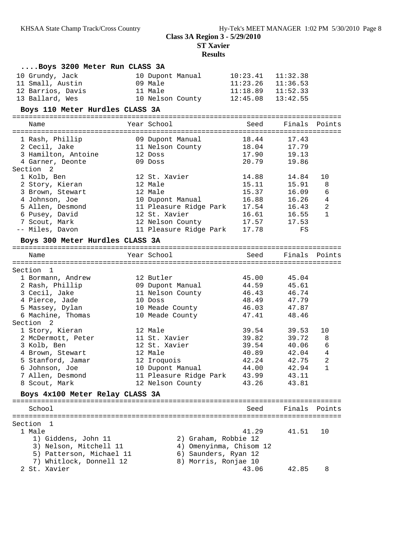**ST Xavier**

| Boys 3200 Meter Run CLASS 3A    |                                    |                         |          |                |
|---------------------------------|------------------------------------|-------------------------|----------|----------------|
| 10 Grundy, Jack                 | 10 Dupont Manual                   | 10:23.41                | 11:32.38 |                |
| 11 Small, Austin                | 09 Male                            | $11:23.26$ $11:36.53$   |          |                |
| 12 Barrios, Davis               | 11 Male                            | $11:18.89$ $11:52.33$   |          |                |
| 13 Ballard, Wes                 | 10 Nelson County 12:45.08 13:42.55 |                         |          |                |
| Boys 110 Meter Hurdles CLASS 3A |                                    |                         |          |                |
| Name                            | Year School                        | Seed                    | Finals   | Points         |
|                                 |                                    |                         |          |                |
| 1 Rash, Phillip                 | 09 Dupont Manual                   | 18.44                   | 17.43    |                |
| 2 Cecil, Jake                   | 11 Nelson County                   | 18.04                   | 17.79    |                |
| 3 Hamilton, Antoine             | 12 Doss                            | 17.90                   | 19.13    |                |
| 4 Garner, Deonte<br>Section 2   | 09 Doss                            | 20.79                   | 19.86    |                |
| 1 Kolb, Ben                     | 12 St. Xavier                      | 14.88                   | 14.84    | 10             |
| 2 Story, Kieran                 | 12 Male                            | 15.11                   | 15.91    | 8              |
| 3 Brown, Stewart                | 12 Male                            | 15.37                   | 16.09    | 6              |
| 4 Johnson, Joe                  | 10 Dupont Manual                   | 16.88                   | 16.26    | $\overline{4}$ |
| 5 Allen, Desmond                | 11 Pleasure Ridge Park             | 17.54                   | 16.43    | 2              |
| 6 Pusey, David                  | 12 St. Xavier                      | 16.61                   | 16.55    | 1              |
| 7 Scout, Mark                   | 12 Nelson County                   | 17.57                   | 17.53    |                |
| -- Miles, Davon                 | 11 Pleasure Ridge Park             | 17.78                   | FS       |                |
| Boys 300 Meter Hurdles CLASS 3A |                                    |                         |          |                |
|                                 |                                    |                         |          |                |
| Name                            | Year School                        | Seed                    |          | Finals Points  |
| Section 1                       |                                    |                         |          |                |
| 1 Bormann, Andrew               | 12 Butler                          | 45.00                   | 45.04    |                |
| 2 Rash, Phillip                 | 09 Dupont Manual                   | 44.59                   | 45.61    |                |
| 3 Cecil, Jake                   | 11 Nelson County                   | 46.43                   | 46.74    |                |
| 4 Pierce, Jade                  | 10 Doss                            | 48.49                   | 47.79    |                |
| 5 Massey, Dylan                 | 10 Meade County                    | 46.03                   | 47.87    |                |
| 6 Machine, Thomas               | 10 Meade County                    | 47.41                   | 48.46    |                |
| Section 2                       |                                    |                         |          |                |
| 1 Story, Kieran                 | 12 Male                            | 39.54                   | 39.53    | 10             |
| 2 McDermott, Peter              | 11 St. Xavier                      | 39.82                   | 39.72    | 8              |
| 3 Kolb, Ben                     | 12 St. Xavier                      | 39.54                   | 40.06    | 6              |
| 4 Brown, Stewart                | 12 Male                            | 40.89                   | 42.04    | $\overline{4}$ |
| 5 Stanford, Jamar               | 12 Iroquois                        | 42.24                   | 42.75    | $\overline{2}$ |
| 6 Johnson, Joe                  | 10 Dupont Manual                   | 44.00                   | 42.94 1  |                |
| 7 Allen, Desmond                | 11 Pleasure Ridge Park             | 43.99                   | 43.11    |                |
| 8 Scout, Mark                   | 12 Nelson County                   | 43.26                   | 43.81    |                |
| Boys 4x100 Meter Relay CLASS 3A |                                    |                         |          |                |
| School                          |                                    | Seed                    | Finals   | Points         |
|                                 |                                    |                         |          |                |
| Section 1<br>1 Male             |                                    | 41.29                   | 41.51    | 10             |
| 1) Giddens, John 11             |                                    | 2) Graham, Robbie 12    |          |                |
| 3) Nelson, Mitchell 11          |                                    | 4) Omenyinma, Chisom 12 |          |                |
| 5) Patterson, Michael 11        |                                    | 6) Saunders, Ryan 12    |          |                |
| 7) Whitlock, Donnell 12         |                                    | 8) Morris, Ronjae 10    |          |                |
| 2 St. Xavier                    |                                    | 43.06                   | 42.85    | 8              |
|                                 |                                    |                         |          |                |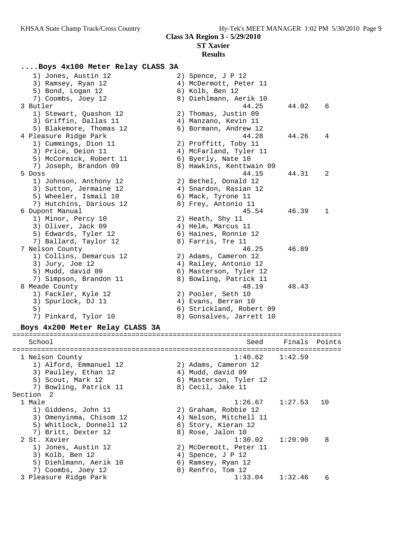# **Results**

### **....Boys 4x100 Meter Relay CLASS 3A**

| 1) Jones, Austin 12             | 2) Spence, J P 12        |         |        |
|---------------------------------|--------------------------|---------|--------|
| 3) Ramsey, Ryan 12              | 4) McDermott, Peter 11   |         |        |
| 5) Bond, Logan 12               | 6) Kolb, Ben 12          |         |        |
| 7) Coombs, Joey 12              | 8) Diehlmann, Aerik 10   |         |        |
| 3 Butler                        | 44.25                    | 44.02   | 6      |
| 1) Stewart, Quashon 12          | 2) Thomas, Justin 09     |         |        |
| 3) Griffin, Dallas 11           | 4) Manzano, Kevin 11     |         |        |
| 5) Blakemore, Thomas 12         | 6) Bormann, Andrew 12    |         |        |
| 4 Pleasure Ridge Park           | 44.28                    | 44.26   | 4      |
| 1) Cummings, Dion 11            | 2) Proffitt, Toby 11     |         |        |
| 3) Price, Deion 11              | 4) McFarland, Tyler 11   |         |        |
| 5) McCormick, Robert 11         | 6) Byerly, Nate 10       |         |        |
| 7) Joseph, Brandon 09           | 8) Hawkins, Kenttwain 09 |         |        |
| 5 Doss                          | 44.15                    | 44.31   | 2      |
| 1) Johnson, Anthony 12          | 2) Bethel, Donald 12     |         |        |
| 3) Sutton, Jermaine 12          | 4) Snardon, Rasian 12    |         |        |
| 5) Wheeler, Ismail 10           | 6) Mack, Tyrone 11       |         |        |
| 7) Hutchins, Darious 12         | 8) Frey, Antonio 11      |         |        |
| 6 Dupont Manual                 | 45.54                    | 46.39   | 1      |
| 1) Minor, Percy 10              | 2) Heath, Shy 11         |         |        |
| 3) Oliver, Jack 09              | 4) Helm, Marcus 11       |         |        |
| 5) Edwards, Tyler 12            | 6) Haines, Ronnie 12     |         |        |
| 7) Ballard, Taylor 12           | 8) Farris, Tre 11        |         |        |
| 7 Nelson County                 | 46.25                    | 46.89   |        |
| 1) Collins, Demarcus 12         | 2) Adams, Cameron 12     |         |        |
| 3) Jury, Joe 12                 | 4) Railey, Antonio 12    |         |        |
| 5) Mudd, david 09               | 6) Masterson, Tyler 12   |         |        |
| 7) Simpson, Brandon 11          | 8) Bowling, Patrick 11   |         |        |
| 8 Meade County                  | 48.19                    | 48.43   |        |
| 1) Fackler, Kyle 12             | 2) Pooler, Seth 10       |         |        |
| 3) Spurlock, DJ 11              | 4) Evans, Berran 10      |         |        |
| 5)                              | 6) Strickland, Robert 09 |         |        |
| 7) Pinkard, Tylor 10            | 8) Gonsalves, Jarrett 10 |         |        |
|                                 |                          |         |        |
| Boys 4x200 Meter Relay CLASS 3A |                          |         |        |
| School                          | Seed                     | Finals  | Points |
|                                 |                          |         |        |
| 1 Nelson County                 | 1:40.62                  | 1:42.59 |        |
| 1) Alford, Emmanuel 12          | 2) Adams, Cameron 12     |         |        |
| 3) Paulley, Ethan 12            | 4) Mudd, david 09        |         |        |
| 5) Scout, Mark 12               | 6) Masterson, Tyler 12   |         |        |
| 7) Bowling, Patrick 11          | 8) Cecil, Jake 11        |         |        |
| Section 2                       |                          |         |        |
| 1 Male                          | 1:26.67                  | 1:27.53 | 10     |
| 1) Giddens, John 11             | 2) Graham, Robbie 12     |         |        |
| 3) Omenyinma, Chisom 12         | 4) Nelson, Mitchell 11   |         |        |
| 5) Whitlock, Donnell 12         | 6) Story, Kieran 12      |         |        |
| 7) Britt, Dexter 12             | 8) Rose, Jalon 10        |         |        |
| 2 St. Xavier                    | 1:30.02                  | 1:29.90 | 8      |
| 1) Jones, Austin 12             | 2) McDermott, Peter 11   |         |        |
| 3) Kolb, Ben 12                 | 4) Spence, J P 12        |         |        |
| 5) Diehlmann, Aerik 10          | 6) Ramsey, Ryan 12       |         |        |
| 7) Coombs, Joey 12              | 8) Renfro, Tom 12        |         |        |
| 3 Pleasure Ridge Park           |                          | 1:32.46 | 6      |
|                                 | 1:33.04                  |         |        |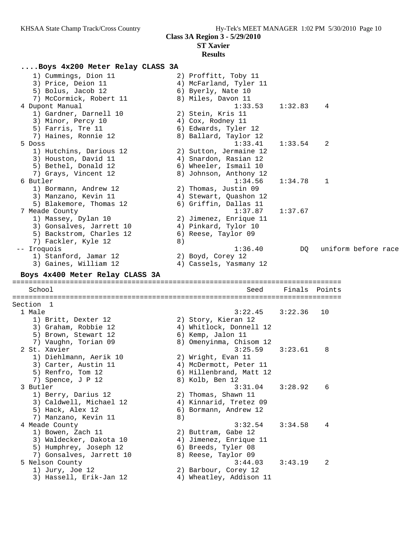### **ST Xavier Results**

# **....Boys 4x200 Meter Relay CLASS 3A**

| 6) Edwards, Tyler 12<br>7) Haines, Ronnie 12<br>8) Ballard, Taylor 12<br>1:33.41<br>1:33.54<br>2<br>5 Doss<br>1) Hutchins, Darious 12<br>2) Sutton, Jermaine 12<br>3) Houston, David 11<br>4) Snardon, Rasian 12<br>6) Wheeler, Ismail 10<br>5) Bethel, Donald 12<br>8) Johnson, Anthony 12<br>7) Grays, Vincent 12<br>6 Butler<br>1:34.56<br>1:34.78<br>ı.<br>1) Bormann, Andrew 12<br>2) Thomas, Justin 09<br>3) Manzano, Kevin 11<br>4) Stewart, Quashon 12<br>5) Blakemore, Thomas 12<br>6) Griffin, Dallas 11<br>7 Meade County<br>1:37.87<br>1:37.67<br>1) Massey, Dylan 10<br>2) Jimenez, Enrique 11<br>4) Pinkard, Tylor 10<br>3) Gonsalves, Jarrett 10<br>5) Backstrom, Charles 12<br>6) Reese, Taylor 09<br>7) Fackler, Kyle 12<br>8)<br>1:36.40<br>uniform before race<br>-- Iroquois<br>DQ<br>1) Stanford, Jamar 12<br>2) Boyd, Corey 12<br>3) Gaines, William 12<br>4) Cassels, Yasmany 12<br>Boys 4x400 Meter Relay CLASS 3A<br>School<br>Seed<br>Finals Points<br>Section 1<br>1 Male<br>3:22.45<br>3:22.36<br>10<br>1) Britt, Dexter 12<br>2) Story, Kieran 12<br>4) Whitlock, Donnell 12<br>3) Graham, Robbie 12<br>5) Brown, Stewart 12<br>6) Kemp, Jalon 11<br>7) Vaughn, Torian 09<br>8) Omenyinma, Chisom 12<br>2 St. Xavier<br>3:25.59<br>3:23.61<br>8<br>1) Diehlmann, Aerik 10<br>2) Wright, Evan 11<br>3) Carter, Austin 11<br>4) McDermott, Peter 11<br>5) Renfro, Tom 12<br>6) Hillenbrand, Matt 12<br>8) Kolb, Ben 12<br>7) Spence, J P 12<br>3 Butler<br>3:31.04<br>3:28.92<br>6<br>1) Berry, Darius 12<br>2) Thomas, Shawn 11<br>3) Caldwell, Michael 12<br>4) Kinnarid, Tretez 09<br>5) Hack, Alex 12<br>6) Bormann, Andrew 12<br>7) Manzano, Kevin 11<br>8)<br>3:32.54<br>3:34.58<br>4 Meade County<br>4<br>1) Bowen, Zach 11<br>2) Buttram, Gabe 12<br>3) Waldecker, Dakota 10<br>4) Jimenez, Enrique 11<br>5) Humphrey, Joseph 12<br>6) Breeds, Tyler 08<br>7) Gonsalves, Jarrett 10<br>8) Reese, Taylor 09<br>5 Nelson County<br>3:44.03<br>3:43.19<br>2<br>1) Jury, Joe 12<br>2) Barbour, Corey 12<br>4) Wheatley, Addison 11<br>3) Hassell, Erik-Jan 12 | 1) Cummings, Dion 11<br>3) Price, Deion 11<br>5) Bolus, Jacob 12<br>7) McCormick, Robert 11<br>4 Dupont Manual<br>1) Gardner, Darnell 10<br>3) Minor, Percy 10 | 2) Proffitt, Toby 11<br>4) McFarland, Tyler 11<br>6) Byerly, Nate 10<br>8) Miles, Davon 11<br>1:33.53<br>2) Stein, Kris 11<br>4) Cox, Rodney 11 | 1:32.83 | 4 |  |
|----------------------------------------------------------------------------------------------------------------------------------------------------------------------------------------------------------------------------------------------------------------------------------------------------------------------------------------------------------------------------------------------------------------------------------------------------------------------------------------------------------------------------------------------------------------------------------------------------------------------------------------------------------------------------------------------------------------------------------------------------------------------------------------------------------------------------------------------------------------------------------------------------------------------------------------------------------------------------------------------------------------------------------------------------------------------------------------------------------------------------------------------------------------------------------------------------------------------------------------------------------------------------------------------------------------------------------------------------------------------------------------------------------------------------------------------------------------------------------------------------------------------------------------------------------------------------------------------------------------------------------------------------------------------------------------------------------------------------------------------------------------------------------------------------------------------------------------------------------------------------------------------------------------------------------------------------------------------------------------------------------------------------------------------------------------------------------------------|----------------------------------------------------------------------------------------------------------------------------------------------------------------|-------------------------------------------------------------------------------------------------------------------------------------------------|---------|---|--|
|                                                                                                                                                                                                                                                                                                                                                                                                                                                                                                                                                                                                                                                                                                                                                                                                                                                                                                                                                                                                                                                                                                                                                                                                                                                                                                                                                                                                                                                                                                                                                                                                                                                                                                                                                                                                                                                                                                                                                                                                                                                                                              | 5) Farris, Tre 11                                                                                                                                              |                                                                                                                                                 |         |   |  |
|                                                                                                                                                                                                                                                                                                                                                                                                                                                                                                                                                                                                                                                                                                                                                                                                                                                                                                                                                                                                                                                                                                                                                                                                                                                                                                                                                                                                                                                                                                                                                                                                                                                                                                                                                                                                                                                                                                                                                                                                                                                                                              |                                                                                                                                                                |                                                                                                                                                 |         |   |  |
|                                                                                                                                                                                                                                                                                                                                                                                                                                                                                                                                                                                                                                                                                                                                                                                                                                                                                                                                                                                                                                                                                                                                                                                                                                                                                                                                                                                                                                                                                                                                                                                                                                                                                                                                                                                                                                                                                                                                                                                                                                                                                              |                                                                                                                                                                |                                                                                                                                                 |         |   |  |
|                                                                                                                                                                                                                                                                                                                                                                                                                                                                                                                                                                                                                                                                                                                                                                                                                                                                                                                                                                                                                                                                                                                                                                                                                                                                                                                                                                                                                                                                                                                                                                                                                                                                                                                                                                                                                                                                                                                                                                                                                                                                                              |                                                                                                                                                                |                                                                                                                                                 |         |   |  |
|                                                                                                                                                                                                                                                                                                                                                                                                                                                                                                                                                                                                                                                                                                                                                                                                                                                                                                                                                                                                                                                                                                                                                                                                                                                                                                                                                                                                                                                                                                                                                                                                                                                                                                                                                                                                                                                                                                                                                                                                                                                                                              |                                                                                                                                                                |                                                                                                                                                 |         |   |  |
|                                                                                                                                                                                                                                                                                                                                                                                                                                                                                                                                                                                                                                                                                                                                                                                                                                                                                                                                                                                                                                                                                                                                                                                                                                                                                                                                                                                                                                                                                                                                                                                                                                                                                                                                                                                                                                                                                                                                                                                                                                                                                              |                                                                                                                                                                |                                                                                                                                                 |         |   |  |
|                                                                                                                                                                                                                                                                                                                                                                                                                                                                                                                                                                                                                                                                                                                                                                                                                                                                                                                                                                                                                                                                                                                                                                                                                                                                                                                                                                                                                                                                                                                                                                                                                                                                                                                                                                                                                                                                                                                                                                                                                                                                                              |                                                                                                                                                                |                                                                                                                                                 |         |   |  |
|                                                                                                                                                                                                                                                                                                                                                                                                                                                                                                                                                                                                                                                                                                                                                                                                                                                                                                                                                                                                                                                                                                                                                                                                                                                                                                                                                                                                                                                                                                                                                                                                                                                                                                                                                                                                                                                                                                                                                                                                                                                                                              |                                                                                                                                                                |                                                                                                                                                 |         |   |  |
|                                                                                                                                                                                                                                                                                                                                                                                                                                                                                                                                                                                                                                                                                                                                                                                                                                                                                                                                                                                                                                                                                                                                                                                                                                                                                                                                                                                                                                                                                                                                                                                                                                                                                                                                                                                                                                                                                                                                                                                                                                                                                              |                                                                                                                                                                |                                                                                                                                                 |         |   |  |
|                                                                                                                                                                                                                                                                                                                                                                                                                                                                                                                                                                                                                                                                                                                                                                                                                                                                                                                                                                                                                                                                                                                                                                                                                                                                                                                                                                                                                                                                                                                                                                                                                                                                                                                                                                                                                                                                                                                                                                                                                                                                                              |                                                                                                                                                                |                                                                                                                                                 |         |   |  |
|                                                                                                                                                                                                                                                                                                                                                                                                                                                                                                                                                                                                                                                                                                                                                                                                                                                                                                                                                                                                                                                                                                                                                                                                                                                                                                                                                                                                                                                                                                                                                                                                                                                                                                                                                                                                                                                                                                                                                                                                                                                                                              |                                                                                                                                                                |                                                                                                                                                 |         |   |  |
|                                                                                                                                                                                                                                                                                                                                                                                                                                                                                                                                                                                                                                                                                                                                                                                                                                                                                                                                                                                                                                                                                                                                                                                                                                                                                                                                                                                                                                                                                                                                                                                                                                                                                                                                                                                                                                                                                                                                                                                                                                                                                              |                                                                                                                                                                |                                                                                                                                                 |         |   |  |
|                                                                                                                                                                                                                                                                                                                                                                                                                                                                                                                                                                                                                                                                                                                                                                                                                                                                                                                                                                                                                                                                                                                                                                                                                                                                                                                                                                                                                                                                                                                                                                                                                                                                                                                                                                                                                                                                                                                                                                                                                                                                                              |                                                                                                                                                                |                                                                                                                                                 |         |   |  |
|                                                                                                                                                                                                                                                                                                                                                                                                                                                                                                                                                                                                                                                                                                                                                                                                                                                                                                                                                                                                                                                                                                                                                                                                                                                                                                                                                                                                                                                                                                                                                                                                                                                                                                                                                                                                                                                                                                                                                                                                                                                                                              |                                                                                                                                                                |                                                                                                                                                 |         |   |  |
|                                                                                                                                                                                                                                                                                                                                                                                                                                                                                                                                                                                                                                                                                                                                                                                                                                                                                                                                                                                                                                                                                                                                                                                                                                                                                                                                                                                                                                                                                                                                                                                                                                                                                                                                                                                                                                                                                                                                                                                                                                                                                              |                                                                                                                                                                |                                                                                                                                                 |         |   |  |
|                                                                                                                                                                                                                                                                                                                                                                                                                                                                                                                                                                                                                                                                                                                                                                                                                                                                                                                                                                                                                                                                                                                                                                                                                                                                                                                                                                                                                                                                                                                                                                                                                                                                                                                                                                                                                                                                                                                                                                                                                                                                                              |                                                                                                                                                                |                                                                                                                                                 |         |   |  |
|                                                                                                                                                                                                                                                                                                                                                                                                                                                                                                                                                                                                                                                                                                                                                                                                                                                                                                                                                                                                                                                                                                                                                                                                                                                                                                                                                                                                                                                                                                                                                                                                                                                                                                                                                                                                                                                                                                                                                                                                                                                                                              |                                                                                                                                                                |                                                                                                                                                 |         |   |  |
|                                                                                                                                                                                                                                                                                                                                                                                                                                                                                                                                                                                                                                                                                                                                                                                                                                                                                                                                                                                                                                                                                                                                                                                                                                                                                                                                                                                                                                                                                                                                                                                                                                                                                                                                                                                                                                                                                                                                                                                                                                                                                              |                                                                                                                                                                |                                                                                                                                                 |         |   |  |
|                                                                                                                                                                                                                                                                                                                                                                                                                                                                                                                                                                                                                                                                                                                                                                                                                                                                                                                                                                                                                                                                                                                                                                                                                                                                                                                                                                                                                                                                                                                                                                                                                                                                                                                                                                                                                                                                                                                                                                                                                                                                                              |                                                                                                                                                                |                                                                                                                                                 |         |   |  |
|                                                                                                                                                                                                                                                                                                                                                                                                                                                                                                                                                                                                                                                                                                                                                                                                                                                                                                                                                                                                                                                                                                                                                                                                                                                                                                                                                                                                                                                                                                                                                                                                                                                                                                                                                                                                                                                                                                                                                                                                                                                                                              |                                                                                                                                                                |                                                                                                                                                 |         |   |  |